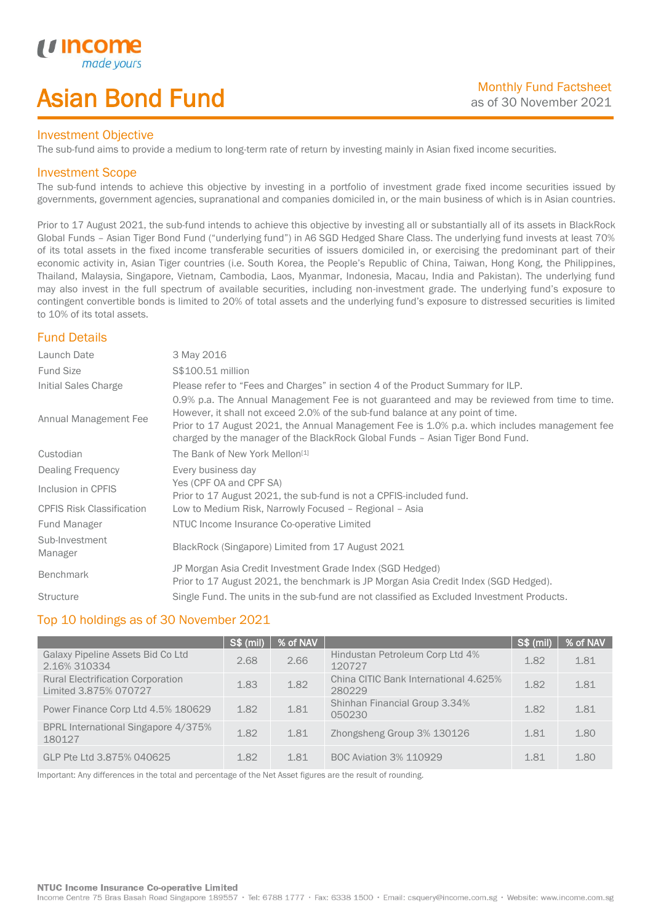# Asian Bond Fund

## Investment Objective

The sub-fund aims to provide a medium to long-term rate of return by investing mainly in Asian fixed income securities.

## Investment Scope

*i i* Incol

I

The sub-fund intends to achieve this objective by investing in a portfolio of investment grade fixed income securities issued by governments, government agencies, supranational and companies domiciled in, or the main business of which is in Asian countries.

Prior to 17 August 2021, the sub-fund intends to achieve this objective by investing all or substantially all of its assets in BlackRock Global Funds – Asian Tiger Bond Fund ("underlying fund") in A6 SGD Hedged Share Class. The underlying fund invests at least 70% of its total assets in the fixed income transferable securities of issuers domiciled in, or exercising the predominant part of their economic activity in, Asian Tiger countries (i.e. South Korea, the People's Republic of China, Taiwan, Hong Kong, the Philippines, Thailand, Malaysia, Singapore, Vietnam, Cambodia, Laos, Myanmar, Indonesia, Macau, India and Pakistan). The underlying fund may also invest in the full spectrum of available securities, including non-investment grade. The underlying fund's exposure to contingent convertible bonds is limited to 20% of total assets and the underlying fund's exposure to distressed securities is limited to 10% of its total assets.

# Fund Details

| Launch Date                      | 3 May 2016                                                                                                                                                                                                                                                                                                                                                        |
|----------------------------------|-------------------------------------------------------------------------------------------------------------------------------------------------------------------------------------------------------------------------------------------------------------------------------------------------------------------------------------------------------------------|
| <b>Fund Size</b>                 | S\$100.51 million                                                                                                                                                                                                                                                                                                                                                 |
| Initial Sales Charge             | Please refer to "Fees and Charges" in section 4 of the Product Summary for ILP.                                                                                                                                                                                                                                                                                   |
| Annual Management Fee            | 0.9% p.a. The Annual Management Fee is not guaranteed and may be reviewed from time to time.<br>However, it shall not exceed 2.0% of the sub-fund balance at any point of time.<br>Prior to 17 August 2021, the Annual Management Fee is 1.0% p.a. which includes management fee<br>charged by the manager of the BlackRock Global Funds - Asian Tiger Bond Fund. |
| Custodian                        | The Bank of New York Mellon <sup>[1]</sup>                                                                                                                                                                                                                                                                                                                        |
| Dealing Frequency                | Every business day                                                                                                                                                                                                                                                                                                                                                |
| Inclusion in CPFIS               | Yes (CPF OA and CPF SA)<br>Prior to 17 August 2021, the sub-fund is not a CPFIS-included fund.                                                                                                                                                                                                                                                                    |
| <b>CPFIS Risk Classification</b> | Low to Medium Risk, Narrowly Focused - Regional - Asia                                                                                                                                                                                                                                                                                                            |
| Fund Manager                     | NTUC Income Insurance Co-operative Limited                                                                                                                                                                                                                                                                                                                        |
| Sub-Investment<br>Manager        | BlackRock (Singapore) Limited from 17 August 2021                                                                                                                                                                                                                                                                                                                 |
| <b>Benchmark</b>                 | JP Morgan Asia Credit Investment Grade Index (SGD Hedged)<br>Prior to 17 August 2021, the benchmark is JP Morgan Asia Credit Index (SGD Hedged).                                                                                                                                                                                                                  |
| <b>Structure</b>                 | Single Fund. The units in the sub-fund are not classified as Excluded Investment Products.                                                                                                                                                                                                                                                                        |

## Top 10 holdings as of 30 November 2021

|                                                                   | <b>S\$ (mil)</b> | % of NAV |                                                 | $S$ \$ (mil) | % of NAV |
|-------------------------------------------------------------------|------------------|----------|-------------------------------------------------|--------------|----------|
| Galaxy Pipeline Assets Bid Co Ltd<br>2.16% 310334                 | 2.68             | 2.66     | Hindustan Petroleum Corp Ltd 4%<br>120727       | 1.82         | 1.81     |
| <b>Rural Electrification Corporation</b><br>Limited 3.875% 070727 | 1.83             | 1.82     | China CITIC Bank International 4.625%<br>280229 | 1.82         | 1.81     |
| Power Finance Corp Ltd 4.5% 180629                                | 1.82             | 1.81     | Shinhan Financial Group 3.34%<br>050230         | 1.82         | 1.81     |
| BPRL International Singapore 4/375%<br>180127                     | 1.82             | 1.81     | Zhongsheng Group 3% 130126                      | 1.81         | 1.80     |
| GLP Pte Ltd 3.875% 040625                                         | 1.82             | 1.81     | <b>BOC Aviation 3% 110929</b>                   | 1.81         | 1.80     |

Important: Any differences in the total and percentage of the Net Asset figures are the result of rounding.